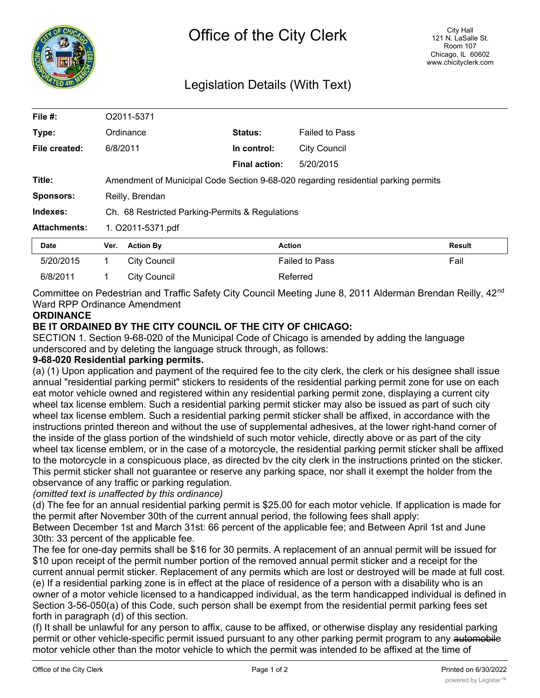

# Legislation Details (With Text)

| File #:             | O2011-5371                                                                         |                     |                      |                       |               |
|---------------------|------------------------------------------------------------------------------------|---------------------|----------------------|-----------------------|---------------|
| Type:               |                                                                                    | Ordinance           | Status:              | <b>Failed to Pass</b> |               |
| File created:       | 6/8/2011                                                                           |                     | In control:          | <b>City Council</b>   |               |
|                     |                                                                                    |                     | <b>Final action:</b> | 5/20/2015             |               |
| Title:              | Amendment of Municipal Code Section 9-68-020 regarding residential parking permits |                     |                      |                       |               |
| <b>Sponsors:</b>    | Reilly, Brendan                                                                    |                     |                      |                       |               |
| Indexes:            | Ch. 68 Restricted Parking-Permits & Regulations                                    |                     |                      |                       |               |
| <b>Attachments:</b> | 1. O2011-5371.pdf                                                                  |                     |                      |                       |               |
| Date                | Ver.                                                                               | <b>Action By</b>    |                      | <b>Action</b>         | <b>Result</b> |
| 5/20/2015           | 1.                                                                                 | <b>City Council</b> |                      | <b>Failed to Pass</b> | Fail          |
| 6/8/2011            | 1                                                                                  | <b>City Council</b> |                      | Referred              |               |

Committee on Pedestrian and Traffic Safety City Council Meeting June 8, 2011 Alderman Brendan Reilly, 42<sup>nd</sup> Ward RPP Ordinance Amendment

### **ORDINANCE**

## **BE IT ORDAINED BY THE CITY COUNCIL OF THE CITY OF CHICAGO:**

SECTION 1. Section 9-68-020 of the Municipal Code of Chicago is amended by adding the language underscored and by deleting the language struck through, as follows:

### **9-68-020 Residential parking permits.**

(a) (1) Upon application and payment of the required fee to the city clerk, the clerk or his designee shall issue annual "residential parking permit" stickers to residents of the residential parking permit zone for use on each eat motor vehicle owned and registered within any residential parking permit zone, displaying a current city wheel tax license emblem. Such a residential parking permit sticker may also be issued as part of such city wheel tax license emblem. Such a residential parking permit sticker shall be affixed, in accordance with the instructions printed thereon and without the use of supplemental adhesives, at the lower right-hand corner of the inside of the glass portion of the windshield of such motor vehicle, directly above or as part of the city wheel tax license emblem, or in the case of a motorcycle, the residential parking permit sticker shall be affixed to the motorcycle in a conspicuous place, as directed bv the city clerk in the instructions printed on the sticker. This permit sticker shall not guarantee or reserve any parking space, nor shall it exempt the holder from the observance of any traffic or parking regulation.

### *(omitted text is unaffected by this ordinance)*

(d) The fee for an annual residential parking permit is \$25.00 for each motor vehicle. If application is made for the permit after November 30th of the current annual period, the following fees shall apply:

Between December 1st and March 31st: 66 percent of the applicable fee; and Between April 1st and June 30th: 33 percent of the applicable fee.

The fee for one-day permits shall be \$16 for 30 permits. A replacement of an annual permit will be issued for \$10 upon receipt of the permit number portion of the removed annual permit sticker and a receipt for the current annual permit sticker. Replacement of any permits which are lost or destroyed will be made at full cost. (e) If a residential parking zone is in effect at the place of residence of a person with a disability who is an owner of a motor vehicle licensed to a handicapped individual, as the term handicapped individual is defined in Section 3-56-050(a) of this Code, such person shall be exempt from the residential permit parking fees set forth in paragraph (d) of this section.

(f) It shall be unlawful for any person to affix, cause to be affixed, or otherwise display any residential parking permit or other vehicle-specific permit issued pursuant to any other parking permit program to any automobile motor vehicle other than the motor vehicle to which the permit was intended to be affixed at the time of